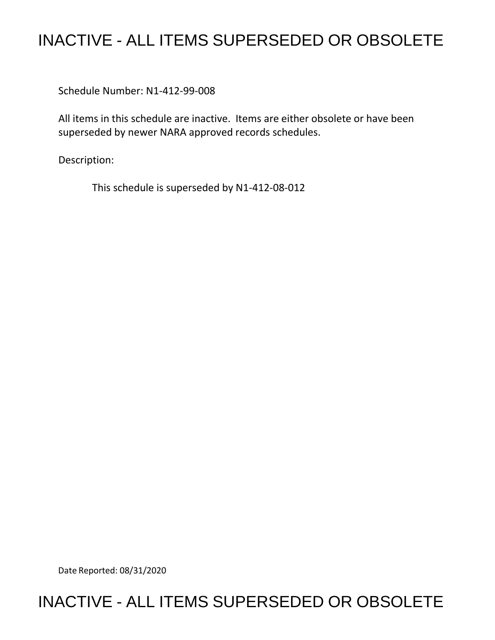## INACTIVE - ALL ITEMS SUPERSEDED OR OBSOLETE

Schedule Number: N1-412-99-008

All items in this schedule are inactive. Items are either obsolete or have been superseded by newer NARA approved records schedules.

Description:

This schedule is superseded by N1-412-08-012

Date Reported: 08/31/2020

## INACTIVE - ALL ITEMS SUPERSEDED OR OBSOLETE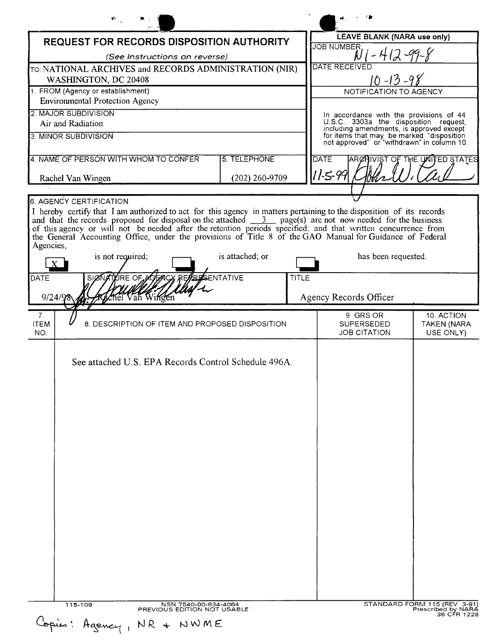|                                                                                |                                       |              | LEAVE BLANK (NARA use only)                                                                                                                                                  |                                               |
|--------------------------------------------------------------------------------|---------------------------------------|--------------|------------------------------------------------------------------------------------------------------------------------------------------------------------------------------|-----------------------------------------------|
| <b>REQUEST FOR RECORDS DISPOSITION AUTHORITY</b>                               |                                       |              | JOB NUMBER,                                                                                                                                                                  |                                               |
| (See Instructions on reverse)                                                  |                                       |              | DATE RECEIVED                                                                                                                                                                |                                               |
| TO: NATIONAL ARCHIVES and RECORDS ADMINISTRATION (NIR)<br>WASHINGTON, DC 20408 |                                       |              | $10 - 13 - 9$                                                                                                                                                                |                                               |
| 1. FROM (Agency or establishment)                                              |                                       |              | NOTIFICATION TO AGENCY                                                                                                                                                       |                                               |
| <b>Environmental Protection Agency</b>                                         |                                       |              |                                                                                                                                                                              |                                               |
| 2. MAJOR SUBDIVISION                                                           |                                       |              | In accordance with the provisions of 44                                                                                                                                      |                                               |
| Air and Radiation                                                              |                                       |              |                                                                                                                                                                              |                                               |
| 3. MINOR SUBDIVISION                                                           |                                       |              | U.S.C. 3303a the disposition request,<br>including amendments, is approved except<br>for items that may be marked "disposition<br>not approved" or "withdrawn" in column 10. |                                               |
| 4. NAME OF PERSON WITH WHOM TO CONFER                                          | <b>5. TELEPHONE</b>                   |              | <b>DATE</b>                                                                                                                                                                  | ARCHIVIST OF THE UNITED STATES                |
| Rachel Van Wingen                                                              | (202) 260-9709                        |              | 11.5-99                                                                                                                                                                      |                                               |
|                                                                                |                                       |              |                                                                                                                                                                              |                                               |
| 6. AGENCY CERTIFICATION                                                        |                                       |              |                                                                                                                                                                              |                                               |
| is not required;<br>SIGNATURE OF AGENCY REA<br>DATE<br>Van Winde<br>9/24/9     | is attached; or<br><b>RESENTATIVE</b> | <b>TITLE</b> | has been requested.<br>Agency Records Officer                                                                                                                                |                                               |
|                                                                                |                                       |              |                                                                                                                                                                              |                                               |
| 7.<br><b>ITEM</b><br>8. DESCRIPTION OF ITEM AND PROPOSED DISPOSITION<br>NO.    |                                       |              | 9 GRS OR<br><b>SUPERSEDED</b><br><b>JOB CITATION</b>                                                                                                                         | 10. ACTION<br><b>TAKEN (NARA</b><br>USE ONLY) |
| See attached U.S. EPA Records Control Schedule 496A.                           |                                       |              |                                                                                                                                                                              |                                               |
|                                                                                |                                       |              |                                                                                                                                                                              |                                               |
| 115-109<br>NSN 7540-00-634-4064                                                |                                       |              |                                                                                                                                                                              | STANDARD FORM 115 (REV 3-91)                  |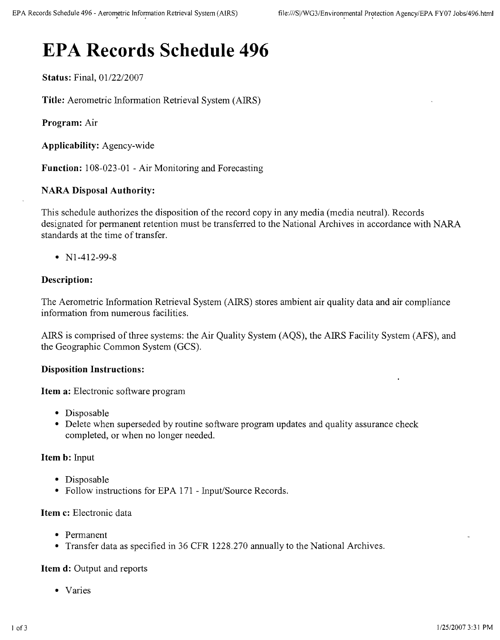# **EPA Records Schedule 496**

**Status:** Final, 01/22/2007

**Title:** Aerometric Information Retrieval System (AIRS)

**Program:** Air

**Applicability:** Agency-wide

**Function:** 108-023-01 - Air Monitoring and Forecasting

### **NARA Disposal Authority:**

This schedule authorizes the disposition of the record copy in any media (media neutral). Records designated for permanent retention must be transferred to the National Archives in accordance with NARA standards at the time of transfer.

• N1-412-99-8

#### **Description:**

The Aerometric Information Retrieval System (AIRS) stores ambient air quality data and air compliance information from numerous facilities.

AIRS is comprised of three systems: the Air Quality System (AQS), the AIRS Facility System (AFS), and the Geographic Common System (GCS).

#### **Disposition Instructions:**

**Item a:** Electronic software program

- Disposable
- Delete when superseded by routine software program updates and quality assurance check completed, or when no longer needed.

#### **Item b:** Input

- Disposable
- Follow instructions for EPA 171 Input/Source Records.

#### **Item c:** Electronic data

- • Permanent
- Transfer data as specified in 36 CFR 1228.270 annually to the National Archives.

#### **Item d:** Output and reports

• Varies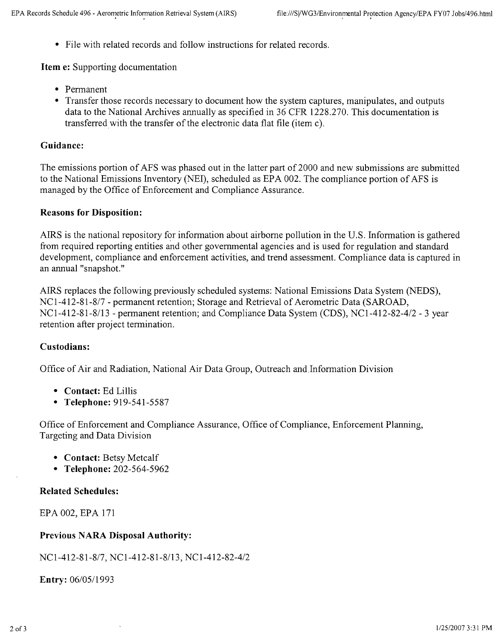• File with related records and follow instructions for related records.

**Item e:** Supporting documentation

- • Permanent
- Transfer those records necessary to document how the system captures, manipulates, and outputs data to the National Archives annually as specified in 36 CFR 1228.270. This documentation is transferred with the transfer of the electronic data flat file (item c).

### **Guidance:**

The emissions portion of AFS was phased out in the latter part of 2000 and new submissions are submitted to the National Emissions Inventory (NEI), scheduled as EPA 002. The compliance portion of AFS is managed by the Office of Enforcement and Compliance Assurance.

#### **Reasons for Disposition:**

AIRS is the national repository for information about airborne pollution in the U.S. Information is gathered from required reporting entities and other governmental agencies and is used for regulation and standard development, compliance and enforcement activities, and trend assessment. Compliance data is captured in an annual "snapshot."

AIRS replaces the following previously scheduled systems: National Emissions Data System (NEDS), NCl-412-81-8/7 - permanent retention; Storage and Retrieval of Aerometric Data (SAROAD, *NCl-412-81-8/13 -* permanent retention; and Compliance Data System (CDS), *NCl-412-82-4/2 -* 3 year retention after project termination.

#### **Custodians:**

Office of Air and Radiation, National Air Data Group, Outreach and.Information Division

- **• Contact:** Ed Lillis
- **• Telephone:** 919-541-5587

Office of Enforcement and Compliance Assurance, Office of Compliance, Enforcement Planning, Targeting and Data Division

- **• Contact:** Betsy Metcalf
- **• Telephone:** 202-564-5962

#### **Related Schedules:**

EPA 002, EPA 171

#### **Previous NARA Disposal Authority:**

NCl-412-81-8/7, *NCl-412-81-8/13, NCl-412-82-4/2*

**Entry:** *06105/1993*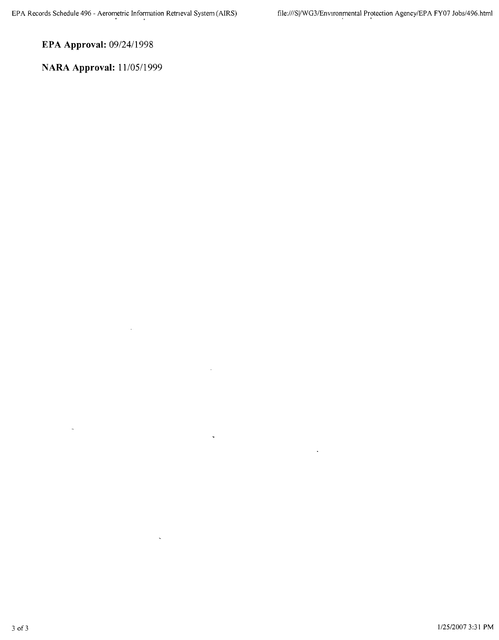**EPA Approval:** *09/24/1998*

**NARA Approval:** *1110511999*

 $\overline{a}$ 

 $\ddot{\phantom{0}}$ 

 $\bar{\zeta}$ 

 $\ddot{\phantom{a}}$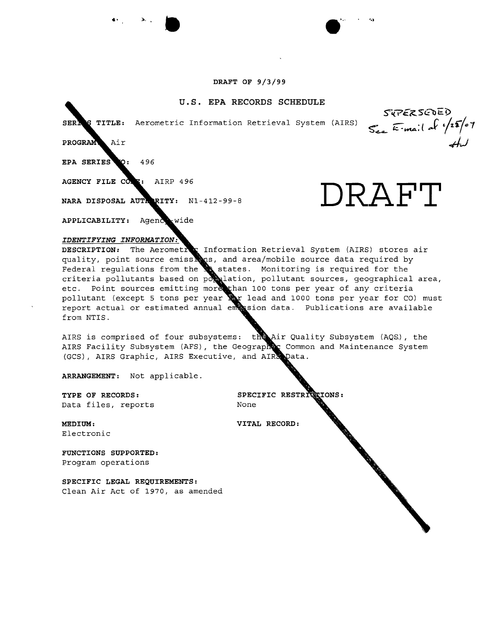**••** '., •

#### **u.s. EPA RECORDS SCHEDULE**

Aerometric Information Retrieval System (AIRS) **S"'<..-<z-** ~K'tA;( **-C'** *,/zf"(tI>1* SER.

 $\mathtt{Air}$ PROGRAM

 $\bullet$ : 496 EPA SERIES

AGENCY FILE CO. T: AIRP 496

NARA DISPOSAL AUTRRITY: N1-412-99-8 **DRAFT** 

**APPLICABILITY:**

#### *IDENTIFYING INFORMATION:*

**DESCRIPTION:** Information Retrieval System (AIRS) stores air quality, point source emissions, and area/mobile source data required by Federal regulations from the **M** states. Monitoring is required for the criteria pollutants based on po $\sum$ lation, pollutant sources, geographical area, etc. Point sources emitting more than 100 tons per year of any criteri pollutant (except 5 tons per year  $\mathbb{R}$ r lead and 1000 tons per year for CO) must porture tenders of the part of the same of the report actual or estimated annual emission data. Publications are available from NTIS.

AIRS is comprised of four subsystems: the Air Quality Subsystem (AQS.), the AIRS Facility Subsystem (AFS), the Geographec Common and Maintenance System (GCS), AIRS Graphic, AIRS Executive, and AIR Data.

**ARRANGEMENT:** Not applicable.

**TYPE OF RECORDS: SPECIFIC** Data files, reports None

**G**EIONS:

**MEDIUM: VITAL RECORD:** Electronic

**FUNCTIONS SUPPORTED:** Program operations

**SPECIFIC LEGAL REQUIREMENTS:** Clean Air Act of 1970, as amended

SKPERSEDED



**NWML**